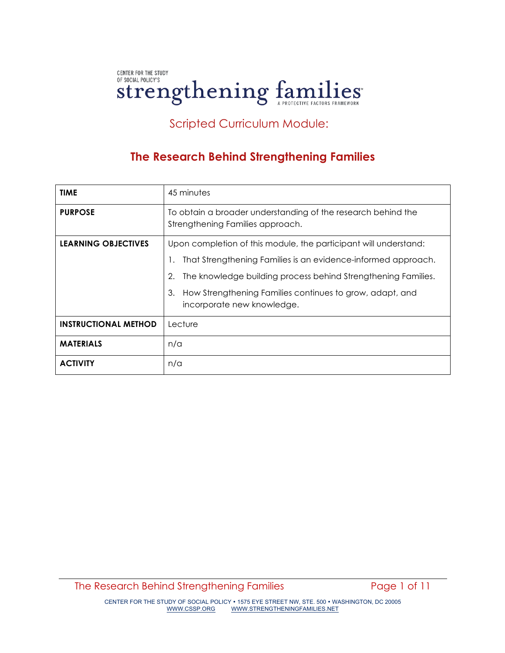# CENTER FOR THE STUDY OF SOCIAL POLICY'S **Strengthening families**

# Scripted Curriculum Module:

# **The Research Behind Strengthening Families**

| <b>TIME</b>                 | 45 minutes                                                                                                                                                                                                                                                                                               |
|-----------------------------|----------------------------------------------------------------------------------------------------------------------------------------------------------------------------------------------------------------------------------------------------------------------------------------------------------|
| <b>PURPOSE</b>              | To obtain a broader understanding of the research behind the<br>Strengthening Families approach.                                                                                                                                                                                                         |
| <b>LEARNING OBJECTIVES</b>  | Upon completion of this module, the participant will understand:<br>That Strengthening Families is an evidence-informed approach.<br>The knowledge building process behind Strengthening Families.<br>2.<br>How Strengthening Families continues to grow, adapt, and<br>3.<br>incorporate new knowledge. |
| <b>INSTRUCTIONAL METHOD</b> | Lecture                                                                                                                                                                                                                                                                                                  |
| <b>MATERIALS</b>            | n/a                                                                                                                                                                                                                                                                                                      |
| <b>ACTIVITY</b>             | n/a                                                                                                                                                                                                                                                                                                      |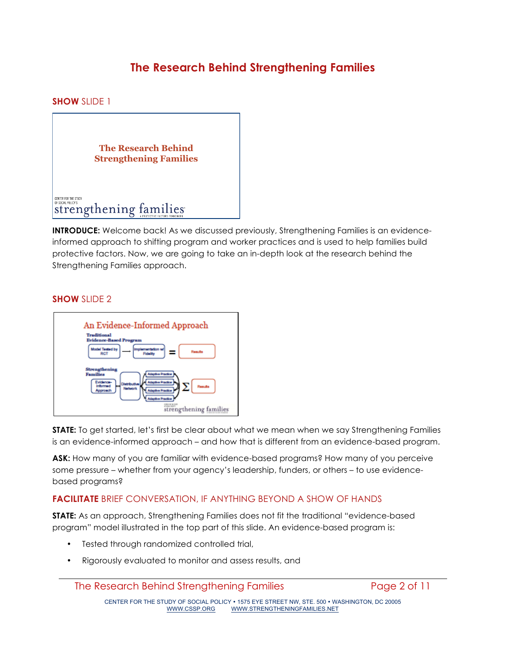# **The Research Behind Strengthening Families**

**SHOW** SLIDE 1



**INTRODUCE:** Welcome back! As we discussed previously, Strengthening Families is an evidenceinformed approach to shifting program and worker practices and is used to help families build protective factors. Now, we are going to take an in-depth look at the research behind the Strengthening Families approach.

#### **SHOW** SLIDE 2



**STATE:** To get started, let's first be clear about what we mean when we say Strengthening Families is an evidence-informed approach – and how that is different from an evidence-based program.

**ASK:** How many of you are familiar with evidence-based programs? How many of you perceive some pressure – whether from your agency's leadership, funders, or others – to use evidencebased programs?

### **FACILITATE** BRIEF CONVERSATION, IF ANYTHING BEYOND A SHOW OF HANDS

**STATE:** As an approach, Strengthening Families does not fit the traditional "evidence-based program" model illustrated in the top part of this slide. An evidence-based program is:

- Tested through randomized controlled trial,
- Rigorously evaluated to monitor and assess results, and

The Research Behind Strengthening Families **Page 2 of 11** 

CENTER FOR THE STUDY OF SOCIAL POLICY • 1575 EYE STREET NW, STE. 500 • WASHINGTON, DC 20005<br>WWW.CSSP.ORG WWW.STRENGTHENINGFAMILIES.NET WWW.STRENGTHENINGFAMILIES.NET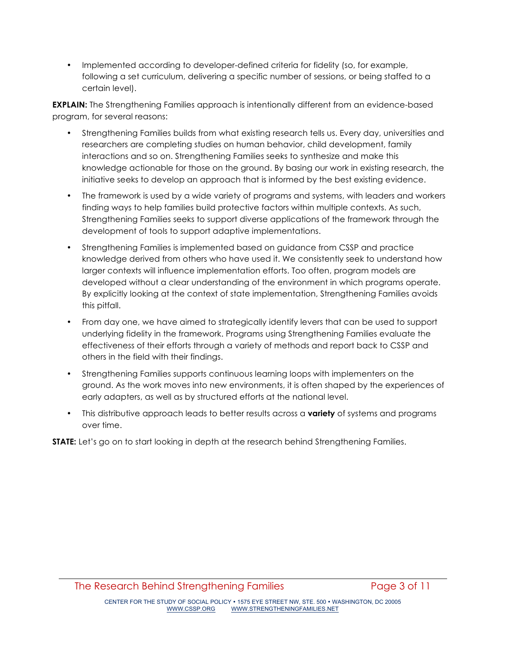• Implemented according to developer-defined criteria for fidelity (so, for example, following a set curriculum, delivering a specific number of sessions, or being staffed to a certain level).

**EXPLAIN:** The Strengthening Families approach is intentionally different from an evidence-based program, for several reasons:

- Strengthening Families builds from what existing research tells us. Every day, universities and researchers are completing studies on human behavior, child development, family interactions and so on. Strengthening Families seeks to synthesize and make this knowledge actionable for those on the ground. By basing our work in existing research, the initiative seeks to develop an approach that is informed by the best existing evidence.
- The framework is used by a wide variety of programs and systems, with leaders and workers finding ways to help families build protective factors within multiple contexts. As such, Strengthening Families seeks to support diverse applications of the framework through the development of tools to support adaptive implementations.
- Strengthening Families is implemented based on guidance from CSSP and practice knowledge derived from others who have used it. We consistently seek to understand how larger contexts will influence implementation efforts. Too often, program models are developed without a clear understanding of the environment in which programs operate. By explicitly looking at the context of state implementation, Strengthening Families avoids this pitfall.
- From day one, we have aimed to strategically identify levers that can be used to support underlying fidelity in the framework. Programs using Strengthening Families evaluate the effectiveness of their efforts through a variety of methods and report back to CSSP and others in the field with their findings.
- Strengthening Families supports continuous learning loops with implementers on the ground. As the work moves into new environments, it is often shaped by the experiences of early adapters, as well as by structured efforts at the national level.
- This distributive approach leads to better results across a **variety** of systems and programs over time.

**STATE:** Let's go on to start looking in depth at the research behind Strengthening Families.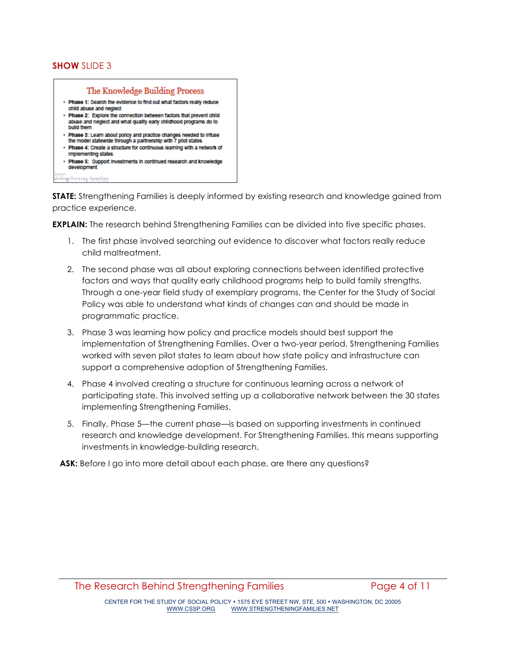### **SHOW** SLIDE 3



**STATE:** Strengthening Families is deeply informed by existing research and knowledge gained from practice experience.

**EXPLAIN:** The research behind Strengthening Families can be divided into five specific phases.

- 1. The first phase involved searching out evidence to discover what factors really reduce child maltreatment.
- 2. The second phase was all about exploring connections between identified protective factors and ways that quality early childhood programs help to build family strengths. Through a one-year field study of exemplary programs, the Center for the Study of Social Policy was able to understand what kinds of changes can and should be made in programmatic practice.
- 3. Phase 3 was learning how policy and practice models should best support the implementation of Strengthening Families. Over a two-year period, Strengthening Families worked with seven pilot states to learn about how state policy and infrastructure can support a comprehensive adoption of Strengthening Families.
- 4. Phase 4 involved creating a structure for continuous learning across a network of participating state. This involved setting up a collaborative network between the 30 states implementing Strengthening Families.
- 5. Finally, Phase 5—the current phase—is based on supporting investments in continued research and knowledge development. For Strengthening Families, this means supporting investments in knowledge-building research.

**ASK:** Before I go into more detail about each phase, are there any questions?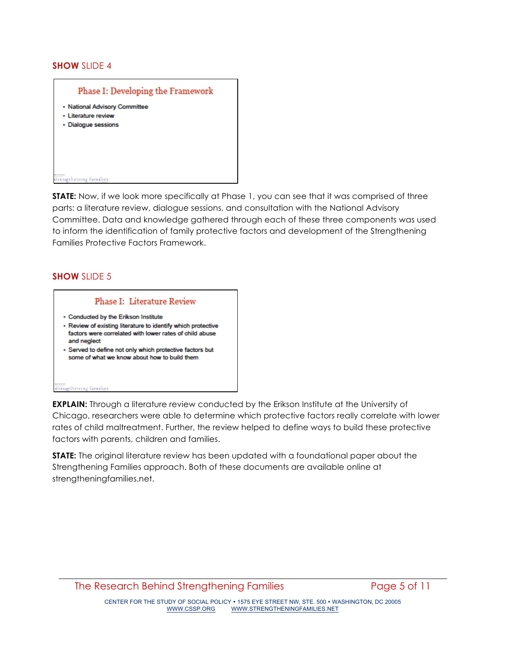#### **SHOW** SLIDE 4



**STATE:** Now, if we look more specifically at Phase 1, you can see that it was comprised of three parts: a literature review, dialogue sessions, and consultation with the National Advisory Committee. Data and knowledge gathered through each of these three components was used to inform the identification of family protective factors and development of the Strengthening Families Protective Factors Framework.

#### **SHOW** SLIDE 5

#### **Phase I: Literature Review**

- · Conducted by the Erikson Institute
- Review of existing literature to identify which protective factors were correlated with lower rates of child abuse and neglect
- · Served to define not only which protective factors but some of what we know about how to build them

#### strengthening families

**EXPLAIN:** Through a literature review conducted by the Erikson Institute at the University of Chicago, researchers were able to determine which protective factors really correlate with lower rates of child maltreatment. Further, the review helped to define ways to build these protective factors with parents, children and families.

**STATE:** The original literature review has been updated with a foundational paper about the Strengthening Families approach. Both of these documents are available online at strengtheningfamilies.net.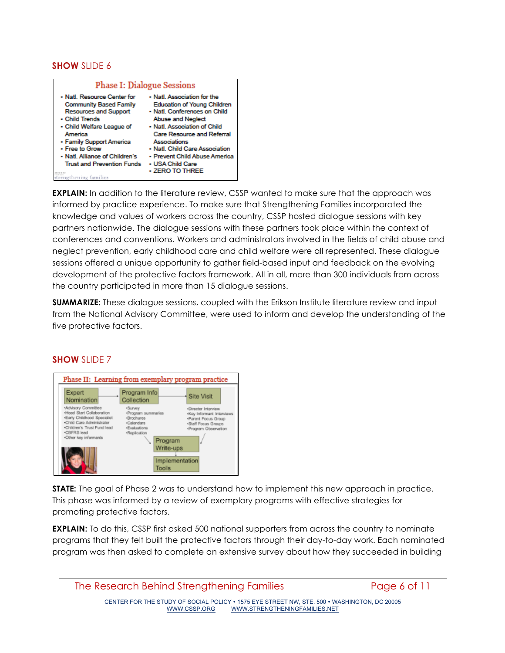### **SHOW** SLIDE 6

| <b>Phase I: Dialogue Sessions</b>                                                                                                                                                                                                                                                                     |                                                                                                                                                                                                                                                                                                                       |  |
|-------------------------------------------------------------------------------------------------------------------------------------------------------------------------------------------------------------------------------------------------------------------------------------------------------|-----------------------------------------------------------------------------------------------------------------------------------------------------------------------------------------------------------------------------------------------------------------------------------------------------------------------|--|
| . Natl. Resource Center for<br><b>Community Based Family</b><br><b>Resources and Support</b><br>- Child Trends<br>• Child Welfare League of<br>America<br>• Family Support America<br>- Free to Grow<br>. Natl. Alliance of Children's<br><b>Trust and Prevention Funds</b><br>strengthening families | • Natl. Association for the<br>Education of Young Children<br>• Natl. Conferences on Child<br><b>Abuse and Neglect</b><br>- Natl. Association of Child<br><b>Care Resource and Referral</b><br>Associations<br>• Natl. Child Care Association<br>• Prevent Child Abuse America<br>• USA Child Care<br>- ZERO TO THREE |  |

**EXPLAIN:** In addition to the literature review, CSSP wanted to make sure that the approach was informed by practice experience. To make sure that Strengthening Families incorporated the knowledge and values of workers across the country, CSSP hosted dialogue sessions with key partners nationwide. The dialogue sessions with these partners took place within the context of conferences and conventions. Workers and administrators involved in the fields of child abuse and neglect prevention, early childhood care and child welfare were all represented. These dialogue sessions offered a unique opportunity to gather field-based input and feedback on the evolving development of the protective factors framework. All in all, more than 300 individuals from across the country participated in more than 15 dialogue sessions.

**SUMMARIZE:** These dialogue sessions, coupled with the Erikson Institute literature review and input from the National Advisory Committee, were used to inform and develop the understanding of the five protective factors.



### **SHOW** SLIDE 7

**STATE:** The goal of Phase 2 was to understand how to implement this new approach in practice. This phase was informed by a review of exemplary programs with effective strategies for promoting protective factors.

**EXPLAIN:** To do this, CSSP first asked 500 national supporters from across the country to nominate programs that they felt built the protective factors through their day-to-day work. Each nominated program was then asked to complete an extensive survey about how they succeeded in building

CENTER FOR THE STUDY OF SOCIAL POLICY • 1575 EYE STREET NW, STE. 500 • WASHINGTON, DC 20005 WWW.STRENGTHENINGFAMILIES.NET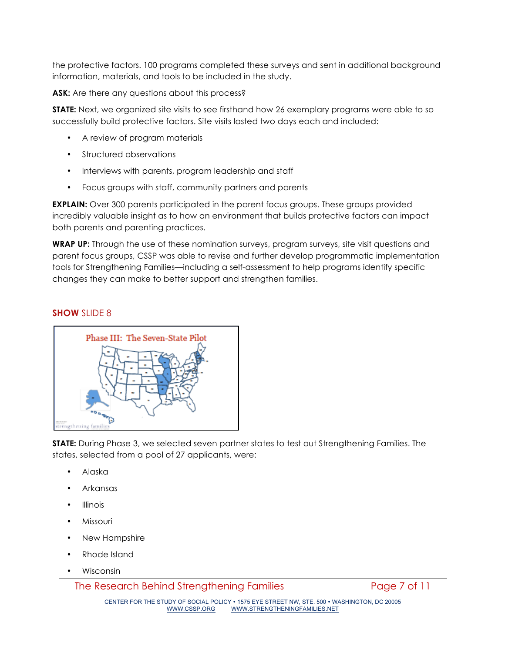the protective factors. 100 programs completed these surveys and sent in additional background information, materials, and tools to be included in the study.

**ASK:** Are there any questions about this process?

**STATE:** Next, we organized site visits to see firsthand how 26 exemplary programs were able to so successfully build protective factors. Site visits lasted two days each and included:

- A review of program materials
- Structured observations
- Interviews with parents, program leadership and staff
- Focus groups with staff, community partners and parents

**EXPLAIN:** Over 300 parents participated in the parent focus groups. These groups provided incredibly valuable insight as to how an environment that builds protective factors can impact both parents and parenting practices.

**WRAP UP:** Through the use of these nomination surveys, program surveys, site visit questions and parent focus groups, CSSP was able to revise and further develop programmatic implementation tools for Strengthening Families—including a self-assessment to help programs identify specific changes they can make to better support and strengthen families.

#### **SHOW** SLIDE 8



**STATE:** During Phase 3, we selected seven partner states to test out Strengthening Families. The states, selected from a pool of 27 applicants, were:

- Alaska
- Arkansas
- **Illinois**
- Missouri
- New Hampshire
- Rhode Island
- Wisconsin

The Research Behind Strengthening Families Page 7 of 11

CENTER FOR THE STUDY OF SOCIAL POLICY • 1575 EYE STREET NW, STE. 500 • WASHINGTON, DC 20005<br>WWW.CSSP.ORG WWW.STRENGTHENINGFAMILIES.NET WWW.STRENGTHENINGFAMILIES.NET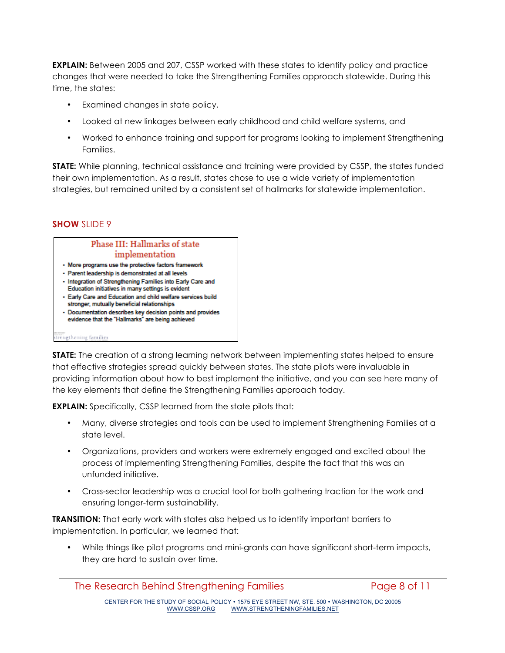**EXPLAIN:** Between 2005 and 207, CSSP worked with these states to identify policy and practice changes that were needed to take the Strengthening Families approach statewide. During this time, the states:

- Examined changes in state policy,
- Looked at new linkages between early childhood and child welfare systems, and
- Worked to enhance training and support for programs looking to implement Strengthening Families.

**STATE:** While planning, technical assistance and training were provided by CSSP, the states funded their own implementation. As a result, states chose to use a wide variety of implementation strategies, but remained united by a consistent set of hallmarks for statewide implementation.

## **SHOW** SLIDE 9



**STATE:** The creation of a strong learning network between implementing states helped to ensure that effective strategies spread quickly between states. The state pilots were invaluable in providing information about how to best implement the initiative, and you can see here many of the key elements that define the Strengthening Families approach today.

**EXPLAIN:** Specifically, CSSP learned from the state pilots that:

- Many, diverse strategies and tools can be used to implement Strengthening Families at a state level.
- Organizations, providers and workers were extremely engaged and excited about the process of implementing Strengthening Families, despite the fact that this was an unfunded initiative.
- Cross-sector leadership was a crucial tool for both gathering traction for the work and ensuring longer-term sustainability.

**TRANSITION:** That early work with states also helped us to identify important barriers to implementation. In particular, we learned that:

• While things like pilot programs and mini-grants can have significant short-term impacts, they are hard to sustain over time.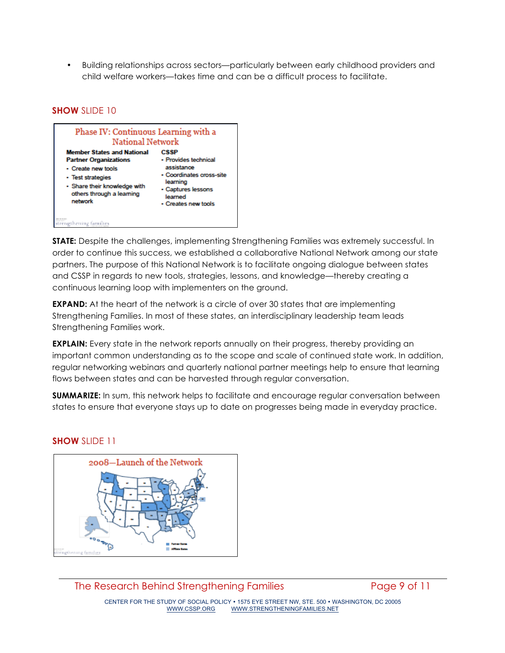• Building relationships across sectors—particularly between early childhood providers and child welfare workers—takes time and can be a difficult process to facilitate.

### **SHOW** SLIDE 10



**STATE:** Despite the challenges, implementing Strengthening Families was extremely successful. In order to continue this success, we established a collaborative National Network among our state partners. The purpose of this National Network is to facilitate ongoing dialogue between states and CSSP in regards to new tools, strategies, lessons, and knowledge—thereby creating a continuous learning loop with implementers on the ground.

**EXPAND:** At the heart of the network is a circle of over 30 states that are implementing Strengthening Families. In most of these states, an interdisciplinary leadership team leads Strengthening Families work.

**EXPLAIN:** Every state in the network reports annually on their progress, thereby providing an important common understanding as to the scope and scale of continued state work. In addition, regular networking webinars and quarterly national partner meetings help to ensure that learning flows between states and can be harvested through regular conversation.

**SUMMARIZE:** In sum, this network helps to facilitate and encourage regular conversation between states to ensure that everyone stays up to date on progresses being made in everyday practice.

### **SHOW** SLIDE 11



CENTER FOR THE STUDY OF SOCIAL POLICY • 1575 EYE STREET NW, STE. 500 • WASHINGTON, DC 20005 WWW.STRENGTHENINGFAMILIES.NET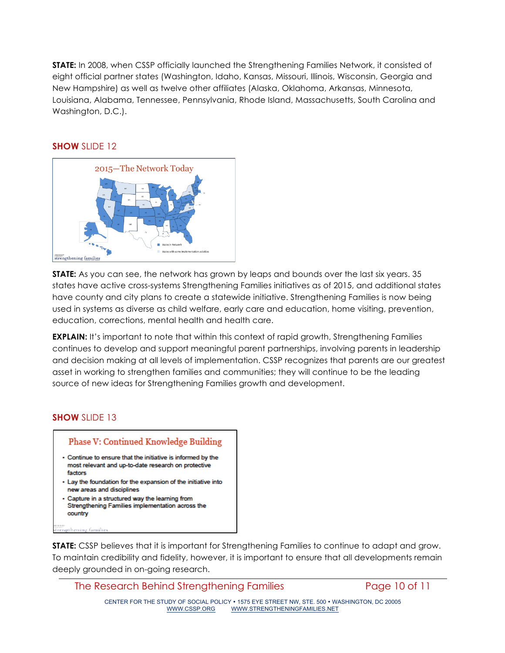**STATE:** In 2008, when CSSP officially launched the Strengthening Families Network, it consisted of eight official partner states (Washington, Idaho, Kansas, Missouri, Illinois, Wisconsin, Georgia and New Hampshire) as well as twelve other affiliates (Alaska, Oklahoma, Arkansas, Minnesota, Louisiana, Alabama, Tennessee, Pennsylvania, Rhode Island, Massachusetts, South Carolina and Washington, D.C.).

#### **SHOW** SLIDE 12



**STATE:** As you can see, the network has grown by leaps and bounds over the last six years. 35 states have active cross-systems Strengthening Families initiatives as of 2015, and additional states have county and city plans to create a statewide initiative. Strengthening Families is now being used in systems as diverse as child welfare, early care and education, home visiting, prevention, education, corrections, mental health and health care.

**EXPLAIN:** It's important to note that within this context of rapid growth, Strengthening Families continues to develop and support meaningful parent partnerships, involving parents in leadership and decision making at all levels of implementation. CSSP recognizes that parents are our greatest asset in working to strengthen families and communities; they will continue to be the leading source of new ideas for Strengthening Families growth and development.

### **SHOW** SLIDE 13



**STATE:** CSSP believes that it is important for Strengthening Families to continue to adapt and grow. To maintain credibility and fidelity, however, it is important to ensure that all developments remain deeply grounded in on-going research.

The Research Behind Strengthening Families Page 10 of 11

CENTER FOR THE STUDY OF SOCIAL POLICY • 1575 EYE STREET NW, STE. 500 • WASHINGTON, DC 20005 WWW.STRENGTHENINGFAMILIES.NET